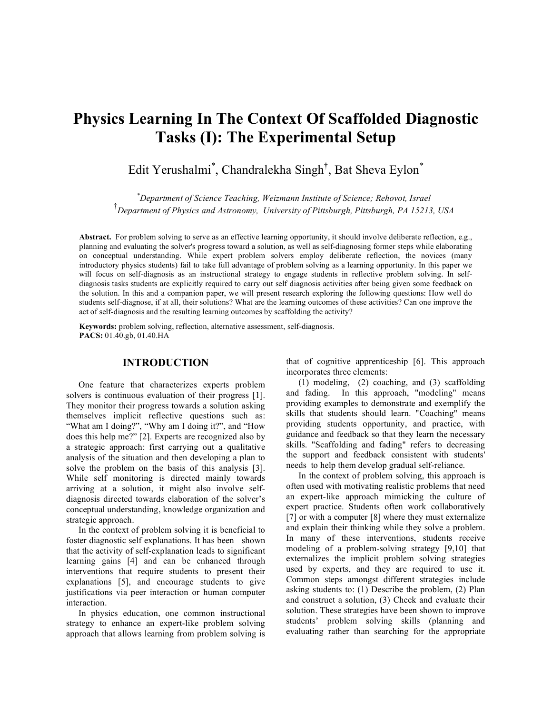# **Physics Learning In The Context Of Scaffolded Diagnostic Tasks (I): The Experimental Setup**

Edit Yerushalmi *\** , Chandralekha Singh† , Bat Sheva Eylon*\**

*\* Department of Science Teaching, Weizmann Institute of Science; Rehovot, Israel* † *Department of Physics and Astronomy, University of Pittsburgh, Pittsburgh, PA 15213, USA*

**Abstract.** For problem solving to serve as an effective learning opportunity, it should involve deliberate reflection, e.g., planning and evaluating the solver's progress toward a solution, as well as self-diagnosing former steps while elaborating on conceptual understanding. While expert problem solvers employ deliberate reflection, the novices (many introductory physics students) fail to take full advantage of problem solving as a learning opportunity. In this paper we will focus on self-diagnosis as an instructional strategy to engage students in reflective problem solving. In selfdiagnosis tasks students are explicitly required to carry out self diagnosis activities after being given some feedback on the solution. In this and a companion paper, we will present research exploring the following questions: How well do students self-diagnose, if at all, their solutions? What are the learning outcomes of these activities? Can one improve the act of self-diagnosis and the resulting learning outcomes by scaffolding the activity?

**Keywords:** problem solving, reflection, alternative assessment, self-diagnosis. **PACS:** 01.40.gb, 01.40.HA

# **INTRODUCTION**

One feature that characterizes experts problem solvers is continuous evaluation of their progress [1]. They monitor their progress towards a solution asking themselves implicit reflective questions such as: "What am I doing?", "Why am I doing it?", and "How does this help me?" [2]. Experts are recognized also by a strategic approach: first carrying out a qualitative analysis of the situation and then developing a plan to solve the problem on the basis of this analysis [3]. While self monitoring is directed mainly towards arriving at a solution, it might also involve selfdiagnosis directed towards elaboration of the solver's conceptual understanding, knowledge organization and strategic approach.

In the context of problem solving it is beneficial to foster diagnostic self explanations. It has been shown that the activity of self-explanation leads to significant learning gains [4] and can be enhanced through interventions that require students to present their explanations [5], and encourage students to give justifications via peer interaction or human computer interaction.

In physics education, one common instructional strategy to enhance an expert-like problem solving approach that allows learning from problem solving is that of cognitive apprenticeship [6]. This approach incorporates three elements:

(1) modeling, (2) coaching, and (3) scaffolding and fading. In this approach, "modeling" means providing examples to demonstrate and exemplify the skills that students should learn. "Coaching" means providing students opportunity, and practice, with guidance and feedback so that they learn the necessary skills. "Scaffolding and fading" refers to decreasing the support and feedback consistent with students' needs to help them develop gradual self-reliance.

In the context of problem solving, this approach is often used with motivating realistic problems that need an expert-like approach mimicking the culture of expert practice. Students often work collaboratively [7] or with a computer [8] where they must externalize and explain their thinking while they solve a problem. In many of these interventions, students receive modeling of a problem-solving strategy [9,10] that externalizes the implicit problem solving strategies used by experts, and they are required to use it. Common steps amongst different strategies include asking students to: (1) Describe the problem, (2) Plan and construct a solution, (3) Check and evaluate their solution. These strategies have been shown to improve students' problem solving skills (planning and evaluating rather than searching for the appropriate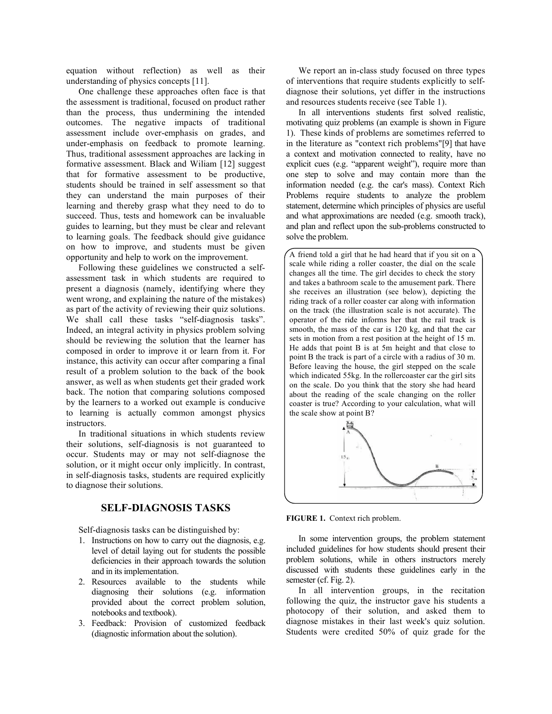equation without reflection) as well as their understanding of physics concepts [11].

One challenge these approaches often face is that the assessment is traditional, focused on product rather than the process, thus undermining the intended outcomes. The negative impacts of traditional assessment include over-emphasis on grades, and under-emphasis on feedback to promote learning. Thus, traditional assessment approaches are lacking in formative assessment. Black and Wiliam [12] suggest that for formative assessment to be productive, students should be trained in self assessment so that they can understand the main purposes of their learning and thereby grasp what they need to do to succeed. Thus, tests and homework can be invaluable guides to learning, but they must be clear and relevant to learning goals. The feedback should give guidance on how to improve, and students must be given opportunity and help to work on the improvement.

Following these guidelines we constructed a selfassessment task in which students are required to present a diagnosis (namely, identifying where they went wrong, and explaining the nature of the mistakes) as part of the activity of reviewing their quiz solutions. We shall call these tasks "self-diagnosis tasks". Indeed, an integral activity in physics problem solving should be reviewing the solution that the learner has composed in order to improve it or learn from it. For instance, this activity can occur after comparing a final result of a problem solution to the back of the book answer, as well as when students get their graded work back. The notion that comparing solutions composed by the learners to a worked out example is conducive to learning is actually common amongst physics instructors.

In traditional situations in which students review their solutions, self-diagnosis is not guaranteed to occur. Students may or may not self-diagnose the solution, or it might occur only implicitly. In contrast, in self-diagnosis tasks, students are required explicitly to diagnose their solutions.

## **SELF-DIAGNOSIS TASKS**

Self-diagnosis tasks can be distinguished by:

- 1. Instructions on how to carry out the diagnosis, e.g. level of detail laying out for students the possible deficiencies in their approach towards the solution and in its implementation.
- 2. Resources available to the students while diagnosing their solutions (e.g. information provided about the correct problem solution, notebooks and textbook).
- 3. Feedback: Provision of customized feedback (diagnostic information about the solution).

We report an in-class study focused on three types of interventions that require students explicitly to selfdiagnose their solutions, yet differ in the instructions and resources students receive (see Table 1).

In all interventions students first solved realistic, motivating quiz problems (an example is shown in Figure 1). These kinds of problems are sometimes referred to in the literature as "context rich problems"[9] that have a context and motivation connected to reality, have no explicit cues (e.g. "apparent weight"), require more than one step to solve and may contain more than the information needed (e.g. the car's mass). Context Rich Problems require students to analyze the problem statement, determine which principles of physics are useful and what approximations are needed (e.g. smooth track), and plan and reflect upon the sub-problems constructed to solve the problem.

A friend told a girl that he had heard that if you sit on a scale while riding a roller coaster, the dial on the scale changes all the time. The girl decides to check the story and takes a bathroom scale to the amusement park. There she receives an illustration (see below), depicting the riding track of a roller coaster car along with information on the track (the illustration scale is not accurate). The operator of the ride informs her that the rail track is smooth, the mass of the car is 120 kg, and that the car sets in motion from a rest position at the height of 15 m. He adds that point B is at 5m height and that close to point B the track is part of a circle with a radius of 30 m. Before leaving the house, the girl stepped on the scale which indicated 55kg. In the rollercoaster car the girl sits on the scale. Do you think that the story she had heard about the reading of the scale changing on the roller coaster is true? According to your calculation, what will the scale show at point B?



**FIGURE 1.** Context rich problem.

In some intervention groups, the problem statement included guidelines for how students should present their problem solutions, while in others instructors merely discussed with students these guidelines early in the semester (cf. Fig. 2).

In all intervention groups, in the recitation following the quiz, the instructor gave his students a photocopy of their solution, and asked them to diagnose mistakes in their last week's quiz solution. Students were credited 50% of quiz grade for the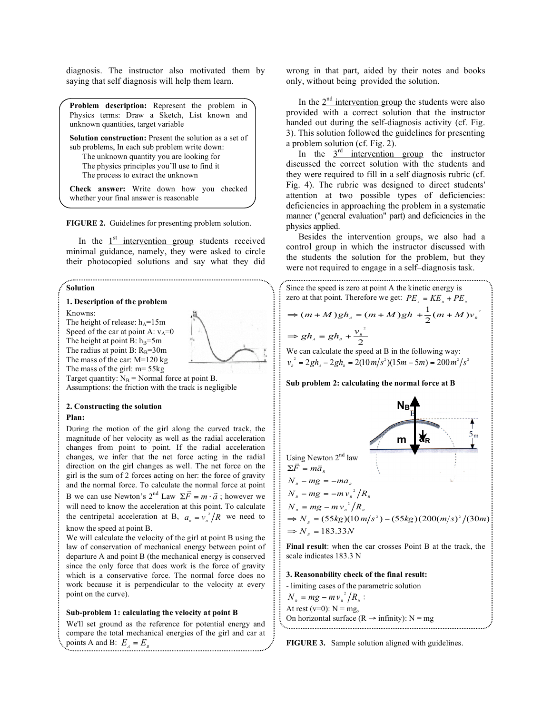diagnosis. The instructor also motivated them by saying that self diagnosis will help them learn.

**Problem description:** Represent the problem in Physics terms: Draw a Sketch, List known and unknown quantities, target variable

**Solution construction:** Present the solution as a set of sub problems, In each sub problem write down: The unknown quantity you are looking for The physics principles you'll use to find it The process to extract the unknown

**Check answer:** Write down how you checked whether your final answer is reasonable

**FIGURE 2.** Guidelines for presenting problem solution.

In the  $1<sup>st</sup>$  intervention group students received minimal guidance, namely, they were asked to circle their photocopied solutions and say what they did

#### **Solution**

# **1. Description of the problem**

Knowns:

The height of release:  $h_A=15m$ Speed of the car at point A:  $v_A=0$ The height at point B:  $h_B=5m$ The radius at point B:  $R_B$ =30m The mass of the car: M=120 kg The mass of the girl: m= 55kg



Target quantity:  $N_B$  = Normal force at point B. Assumptions: the friction with the track is negligible

#### **2. Constructing the solution Plan:**

During the motion of the girl along the curved track, the magnitude of her velocity as well as the radial acceleration changes from point to point. If the radial acceleration changes, we infer that the net force acting in the radial direction on the girl changes as well. The net force on the girl is the sum of 2 forces acting on her: the force of gravity and the normal force. To calculate the normal force at point B we can use Newton's  $2^{nd}$  Law  $\Sigma \vec{F} = m \cdot \vec{a}$ ; however we will need to know the acceleration at this point. To calculate the centripetal acceleration at B,  $a_{R} = v_{B}^{2}/R$  we need to know the speed at point B.

We will calculate the velocity of the girl at point B using the law of conservation of mechanical energy between point of departure A and point B (the mechanical energy is conserved since the only force that does work is the force of gravity which is a conservative force. The normal force does no work because it is perpendicular to the velocity at every point on the curve).

#### **Sub-problem 1: calculating the velocity at point B**

points A and B:  $E_A = E_B$ We'll set ground as the reference for potential energy and compare the total mechanical energies of the girl and car at wrong in that part, aided by their notes and books only, without being provided the solution.

In the  $2<sup>nd</sup>$  intervention group the students were also provided with a correct solution that the instructor handed out during the self-diagnosis activity (cf. Fig. 3). This solution followed the guidelines for presenting a problem solution (cf. Fig. 2).

In the  $3<sup>rd</sup>$  intervention group the instructor discussed the correct solution with the students and they were required to fill in a self diagnosis rubric (cf. Fig. 4). The rubric was designed to direct students' attention at two possible types of deficiencies: deficiencies in approaching the problem in a systematic manner ("general evaluation" part) and deficiencies in the physics applied.

Besides the intervention groups, we also had a control group in which the instructor discussed with the students the solution for the problem, but they were not required to engage in a self–diagnosis task.

Since the speed is zero at point A the kinetic energy is  
zero at that point. Therefore we get: 
$$
PE_A = KE_B + PE_B
$$
  

$$
\Rightarrow (m + M)gh_A = (m + M)gh + \frac{1}{2}(m + M)v_B^2
$$

$$
\Rightarrow gh_A = gh_B + \frac{v_B^2}{2}
$$
We can calculate the speed at B in the following way:  

$$
v_B^2 = 2gh_A - 2gh_B = 2(10m/s^2)(15m - 5m) = 200m^2/s^2
$$

#### **Sub problem 2: calculating the normal force at B**



**Final result**: when the car crosses Point B at the track, the scale indicates 183.3 N

#### **3. Reasonability check of the final result:**

- limiting cases of the parametric solution

 $N_{\rm B} = mg - m v_{\rm B}^{2}/R_{\rm B}$ : At rest ( $v=0$ ):  $N = mg$ ,

On horizontal surface ( $R \rightarrow$  infinity):  $N = mg$ 

**FIGURE 3.** Sample solution aligned with guidelines.